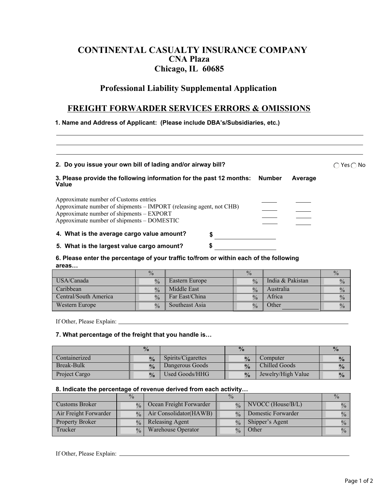# **CONTINENTAL CASUALTY INSURANCE COMPANY CNA Plaza Chicago, IL 60685**

## **Professional Liability Supplemental Application**

## **FREIGHT FORWARDER SERVICES ERRORS & OMISSIONS**

**1. Name and Address of Applicant: (Please include DBA's/Subsidiaries, etc.)** 

| 2. Do you issue your own bill of lading and/or airway bill?                                                                                                                                            |    |  |  |  |  |
|--------------------------------------------------------------------------------------------------------------------------------------------------------------------------------------------------------|----|--|--|--|--|
| 3. Please provide the following information for the past 12 months: Number<br>Average<br>Value                                                                                                         |    |  |  |  |  |
| Approximate number of Customs entries<br>Approximate number of shipments – IMPORT (releasing agent, not CHB)<br>Approximate number of shipments – EXPORT<br>Approximate number of shipments – DOMESTIC |    |  |  |  |  |
| 4. What is the average cargo value amount?                                                                                                                                                             | \$ |  |  |  |  |
| 5. What is the largest value cargo amount?                                                                                                                                                             | S  |  |  |  |  |

### **6. Please enter the percentage of your traffic to/from or within each of the following areas…**

|                       | $\frac{0}{0}$ |                | $\frac{0}{0}$ |                  | $\frac{0}{2}$ |
|-----------------------|---------------|----------------|---------------|------------------|---------------|
| USA/Canada            | $\frac{0}{0}$ | Eastern Europe | $\frac{0}{0}$ | India & Pakistan | $\frac{0}{0}$ |
| Caribbean             | $\frac{0}{0}$ | Middle East    | $\frac{0}{0}$ | Australia        | $\frac{0}{0}$ |
| Central/South America | $\frac{0}{0}$ | Far East/China | $\frac{0}{0}$ | Africa           |               |
| Western Europe        | $\frac{0}{0}$ | Southeast Asia |               | <b>Other</b>     | $\frac{0}{0}$ |

If Other, Please Explain:

### **7. What percentage of the freight that you handle is…**

|               | $\frac{0}{0}$      |                       | $\frac{0}{2}$ |                    |               |
|---------------|--------------------|-----------------------|---------------|--------------------|---------------|
| Containerized | $\frac{0}{\alpha}$ | Spirits/Cigarettes    | $\frac{0}{0}$ | Computer           |               |
| Break-Bulk    | $\frac{0}{0}$      | Dangerous Goods       | $\frac{0}{2}$ | Chilled Goods      | $\frac{0}{0}$ |
| Project Cargo | $\frac{0}{2}$      | <b>Used Goods/HHG</b> | $\frac{0}{0}$ | Jewelry/High Value | $\frac{0}{0}$ |

#### **8. Indicate the percentage of revenue derived from each activity…**

|                        | $\frac{0}{0}$ |                           | $\frac{0}{0}$ |                     |               |
|------------------------|---------------|---------------------------|---------------|---------------------|---------------|
| Customs Broker         | $\frac{0}{0}$ | Ocean Freight Forwarder   |               | $NVOCC$ (House/B/L) | $\%$          |
| Air Freight Forwarder  | 0/2           | Air Consolidator (HAWB)   | 0/2           | Domestic Forwarder  | $\frac{0}{0}$ |
| <b>Property Broker</b> | $\frac{0}{0}$ | <b>Releasing Agent</b>    | $\frac{0}{0}$ | Shipper's Agent     | $\frac{0}{0}$ |
| Trucker                | $\frac{0}{0}$ | <b>Warehouse Operator</b> | $\frac{0}{0}$ | Other               | $\%$          |

If Other, Please Explain: